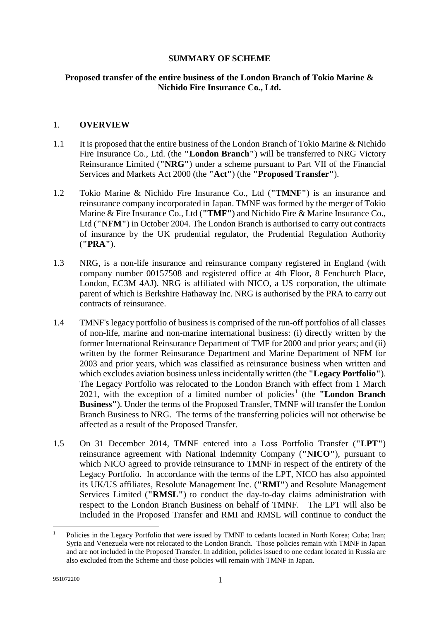## **SUMMARY OF SCHEME**

# **Proposed transfer of the entire business of the London Branch of Tokio Marine & Nichido Fire Insurance Co., Ltd.**

### 1. **OVERVIEW**

- 1.1 It is proposed that the entire business of the London Branch of Tokio Marine & Nichido Fire Insurance Co., Ltd. (the **"London Branch"**) will be transferred to NRG Victory Reinsurance Limited (**"NRG"**) under a scheme pursuant to Part VII of the Financial Services and Markets Act 2000 (the **"Act"**) (the **"Proposed Transfer"**).
- 1.2 Tokio Marine & Nichido Fire Insurance Co., Ltd (**"TMNF"**) is an insurance and reinsurance company incorporated in Japan. TMNF was formed by the merger of Tokio Marine & Fire Insurance Co., Ltd (**"TMF"**) and Nichido Fire & Marine Insurance Co., Ltd (**"NFM"**) in October 2004. The London Branch is authorised to carry out contracts of insurance by the UK prudential regulator, the Prudential Regulation Authority (**"PRA"**).
- 1.3 NRG, is a non-life insurance and reinsurance company registered in England (with company number 00157508 and registered office at 4th Floor, 8 Fenchurch Place, London, EC3M 4AJ). NRG is affiliated with NICO, a US corporation, the ultimate parent of which is Berkshire Hathaway Inc. NRG is authorised by the PRA to carry out contracts of reinsurance.
- 1.4 TMNF's legacy portfolio of business is comprised of the run-off portfolios of all classes of non-life, marine and non-marine international business: (i) directly written by the former International Reinsurance Department of TMF for 2000 and prior years; and (ii) written by the former Reinsurance Department and Marine Department of NFM for 2003 and prior years, which was classified as reinsurance business when written and which excludes aviation business unless incidentally written (the **"Legacy Portfolio"**). The Legacy Portfolio was relocated to the London Branch with effect from 1 March 202[1](#page-0-0), with the exception of a limited number of policies<sup>1</sup> (the "London Branch **Business"**). Under the terms of the Proposed Transfer, TMNF will transfer the London Branch Business to NRG. The terms of the transferring policies will not otherwise be affected as a result of the Proposed Transfer.
- 1.5 On 31 December 2014, TMNF entered into a Loss Portfolio Transfer (**"LPT"**) reinsurance agreement with National Indemnity Company (**"NICO"**), pursuant to which NICO agreed to provide reinsurance to TMNF in respect of the entirety of the Legacy Portfolio. In accordance with the terms of the LPT, NICO has also appointed its UK/US affiliates, Resolute Management Inc. (**"RMI"**) and Resolute Management Services Limited (**"RMSL"**) to conduct the day-to-day claims administration with respect to the London Branch Business on behalf of TMNF. The LPT will also be included in the Proposed Transfer and RMI and RMSL will continue to conduct the

<span id="page-0-0"></span><sup>1</sup> Policies in the Legacy Portfolio that were issued by TMNF to cedants located in North Korea; Cuba; Iran; Syria and Venezuela were not relocated to the London Branch. Those policies remain with TMNF in Japan and are not included in the Proposed Transfer. In addition, policies issued to one cedant located in Russia are also excluded from the Scheme and those policies will remain with TMNF in Japan.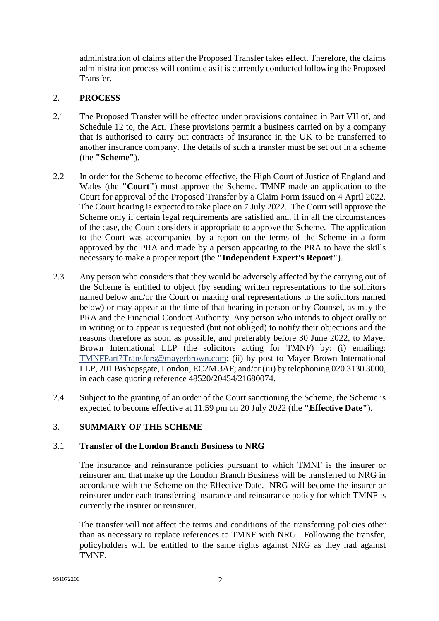administration of claims after the Proposed Transfer takes effect. Therefore, the claims administration process will continue as it is currently conducted following the Proposed **Transfer** 

### 2. **PROCESS**

- 2.1 The Proposed Transfer will be effected under provisions contained in Part VII of, and Schedule 12 to, the Act. These provisions permit a business carried on by a company that is authorised to carry out contracts of insurance in the UK to be transferred to another insurance company. The details of such a transfer must be set out in a scheme (the **"Scheme"**).
- 2.2 In order for the Scheme to become effective, the High Court of Justice of England and Wales (the **"Court"**) must approve the Scheme. TMNF made an application to the Court for approval of the Proposed Transfer by a Claim Form issued on 4 April 2022. The Court hearing is expected to take place on 7 July 2022. The Court will approve the Scheme only if certain legal requirements are satisfied and, if in all the circumstances of the case, the Court considers it appropriate to approve the Scheme. The application to the Court was accompanied by a report on the terms of the Scheme in a form approved by the PRA and made by a person appearing to the PRA to have the skills necessary to make a proper report (the **"Independent Expert's Report"**).
- 2.3 Any person who considers that they would be adversely affected by the carrying out of the Scheme is entitled to object (by sending written representations to the solicitors named below and/or the Court or making oral representations to the solicitors named below) or may appear at the time of that hearing in person or by Counsel, as may the PRA and the Financial Conduct Authority. Any person who intends to object orally or in writing or to appear is requested (but not obliged) to notify their objections and the reasons therefore as soon as possible, and preferably before 30 June 2022, to Mayer Brown International LLP (the solicitors acting for TMNF) by: (i) emailing: [TMNFPart7Transfers@mayerbrown.com](mailto:TMNFPart7Transfers@mayerbrown.com); (ii) by post to Mayer Brown International LLP, 201 Bishopsgate, London, EC2M 3AF; and/or (iii) by telephoning 020 3130 3000, in each case quoting reference 48520/20454/21680074.
- 2.4 Subject to the granting of an order of the Court sanctioning the Scheme, the Scheme is expected to become effective at 11.59 pm on 20 July 2022 (the **"Effective Date"**).

### 3. **SUMMARY OF THE SCHEME**

### 3.1 **Transfer of the London Branch Business to NRG**

The insurance and reinsurance policies pursuant to which TMNF is the insurer or reinsurer and that make up the London Branch Business will be transferred to NRG in accordance with the Scheme on the Effective Date. NRG will become the insurer or reinsurer under each transferring insurance and reinsurance policy for which TMNF is currently the insurer or reinsurer.

The transfer will not affect the terms and conditions of the transferring policies other than as necessary to replace references to TMNF with NRG. Following the transfer, policyholders will be entitled to the same rights against NRG as they had against TMNF.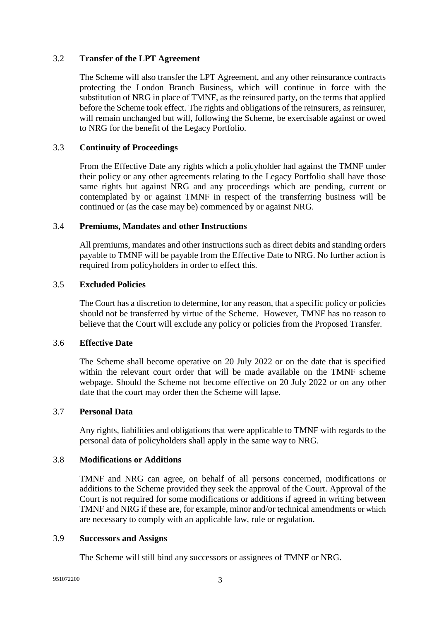### 3.2 **Transfer of the LPT Agreement**

The Scheme will also transfer the LPT Agreement, and any other reinsurance contracts protecting the London Branch Business, which will continue in force with the substitution of NRG in place of TMNF, as the reinsured party, on the terms that applied before the Scheme took effect. The rights and obligations of the reinsurers, as reinsurer, will remain unchanged but will, following the Scheme, be exercisable against or owed to NRG for the benefit of the Legacy Portfolio.

## 3.3 **Continuity of Proceedings**

From the Effective Date any rights which a policyholder had against the TMNF under their policy or any other agreements relating to the Legacy Portfolio shall have those same rights but against NRG and any proceedings which are pending, current or contemplated by or against TMNF in respect of the transferring business will be continued or (as the case may be) commenced by or against NRG.

## 3.4 **Premiums, Mandates and other Instructions**

All premiums, mandates and other instructions such as direct debits and standing orders payable to TMNF will be payable from the Effective Date to NRG. No further action is required from policyholders in order to effect this.

## 3.5 **Excluded Policies**

The Court has a discretion to determine, for any reason, that a specific policy or policies should not be transferred by virtue of the Scheme. However, TMNF has no reason to believe that the Court will exclude any policy or policies from the Proposed Transfer.

### 3.6 **Effective Date**

The Scheme shall become operative on 20 July 2022 or on the date that is specified within the relevant court order that will be made available on the TMNF scheme webpage. Should the Scheme not become effective on 20 July 2022 or on any other date that the court may order then the Scheme will lapse.

### 3.7 **Personal Data**

Any rights, liabilities and obligations that were applicable to TMNF with regards to the personal data of policyholders shall apply in the same way to NRG.

### 3.8 **Modifications or Additions**

TMNF and NRG can agree, on behalf of all persons concerned, modifications or additions to the Scheme provided they seek the approval of the Court. Approval of the Court is not required for some modifications or additions if agreed in writing between TMNF and NRG if these are, for example, minor and/or technical amendments or which are necessary to comply with an applicable law, rule or regulation.

### 3.9 **Successors and Assigns**

The Scheme will still bind any successors or assignees of TMNF or NRG.